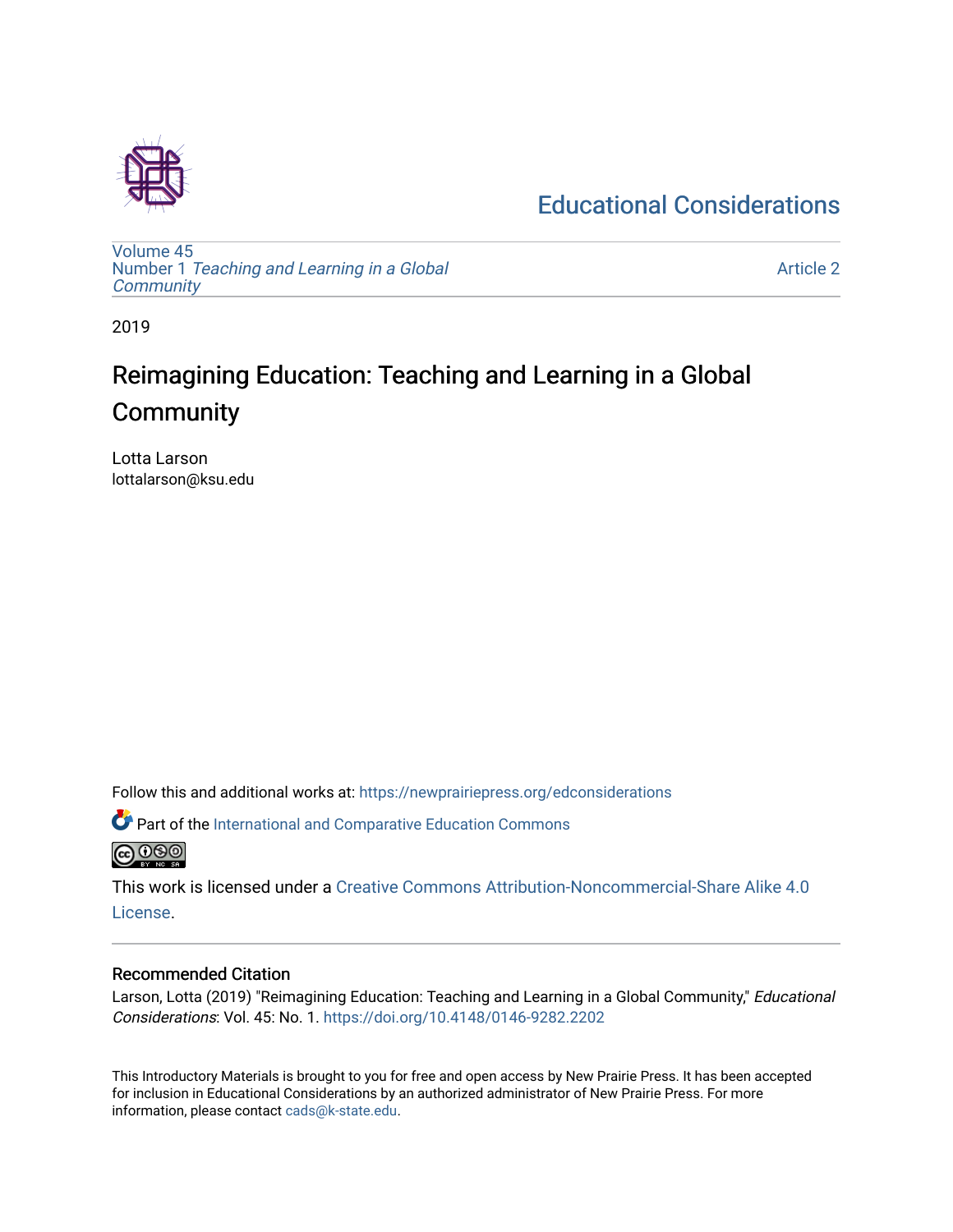## [Educational Considerations](https://newprairiepress.org/edconsiderations)

[Volume 45](https://newprairiepress.org/edconsiderations/vol45) Number 1 [Teaching and Learning in a Global](https://newprairiepress.org/edconsiderations/vol45/iss1)  **[Community](https://newprairiepress.org/edconsiderations/vol45/iss1)** 

[Article 2](https://newprairiepress.org/edconsiderations/vol45/iss1/2) 

2019

# Reimagining Education: Teaching and Learning in a Global **Community**

Lotta Larson lottalarson@ksu.edu

Follow this and additional works at: [https://newprairiepress.org/edconsiderations](https://newprairiepress.org/edconsiderations?utm_source=newprairiepress.org%2Fedconsiderations%2Fvol45%2Fiss1%2F2&utm_medium=PDF&utm_campaign=PDFCoverPages) 

 $\bullet$  Part of the International and Comparative Education Commons **@** 00

This work is licensed under a [Creative Commons Attribution-Noncommercial-Share Alike 4.0](https://creativecommons.org/licenses/by-nc-sa/4.0/) [License.](https://creativecommons.org/licenses/by-nc-sa/4.0/)

#### Recommended Citation

Larson, Lotta (2019) "Reimagining Education: Teaching and Learning in a Global Community," *Educational* Considerations: Vol. 45: No. 1. <https://doi.org/10.4148/0146-9282.2202>

This Introductory Materials is brought to you for free and open access by New Prairie Press. It has been accepted for inclusion in Educational Considerations by an authorized administrator of New Prairie Press. For more information, please contact [cads@k-state.edu](mailto:cads@k-state.edu).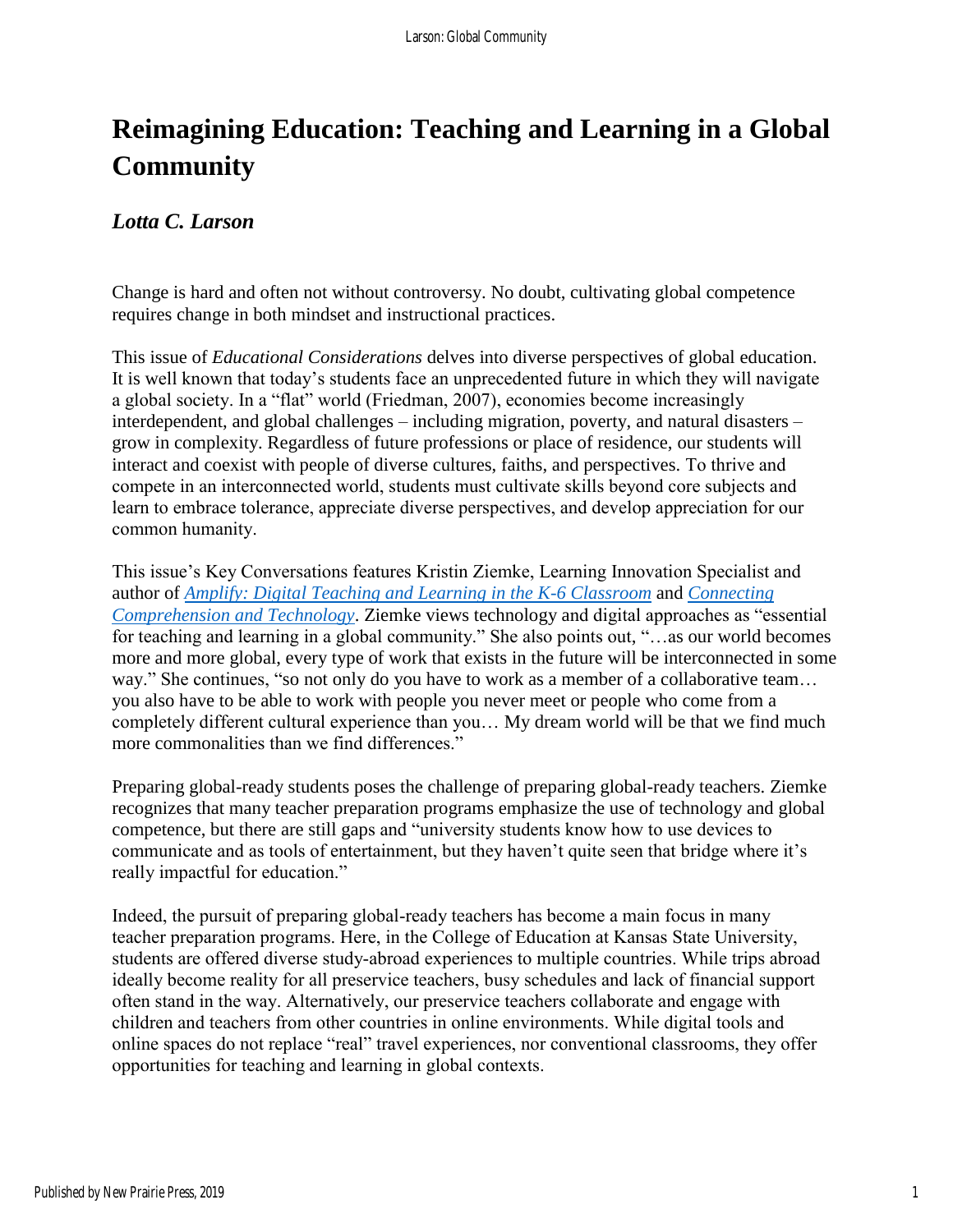# **Reimagining Education: Teaching and Learning in a Global Community**

### *Lotta C. Larson*

Change is hard and often not without controversy. No doubt, cultivating global competence requires change in both mindset and instructional practices.

This issue of *Educational Considerations* delves into diverse perspectives of global education. It is well known that today's students face an unprecedented future in which they will navigate a global society. In a "flat" world (Friedman, 2007), economies become increasingly interdependent, and global challenges – including migration, poverty, and natural disasters – grow in complexity. Regardless of future professions or place of residence, our students will interact and coexist with people of diverse cultures, faiths, and perspectives. To thrive and compete in an interconnected world, students must cultivate skills beyond core subjects and learn to embrace tolerance, appreciate diverse perspectives, and develop appreciation for our common humanity.

This issue's Key Conversations features Kristin Ziemke, Learning Innovation Specialist and author of *[Amplify: Digital Teaching and Learning in the K-6 Classroom](https://www.heinemann.com/products/e07473.aspx)* and *[Connecting](https://www.heinemann.com/products/e04703.aspx)  [Comprehension and Technology](https://www.heinemann.com/products/e04703.aspx)*. Ziemke views technology and digital approaches as "essential for teaching and learning in a global community." She also points out, "…as our world becomes more and more global, every type of work that exists in the future will be interconnected in some way." She continues, "so not only do you have to work as a member of a collaborative team… you also have to be able to work with people you never meet or people who come from a completely different cultural experience than you… My dream world will be that we find much more commonalities than we find differences."

Preparing global-ready students poses the challenge of preparing global-ready teachers. Ziemke recognizes that many teacher preparation programs emphasize the use of technology and global competence, but there are still gaps and "university students know how to use devices to communicate and as tools of entertainment, but they haven't quite seen that bridge where it's really impactful for education."

Indeed, the pursuit of preparing global-ready teachers has become a main focus in many teacher preparation programs. Here, in the College of Education at Kansas State University, students are offered diverse study-abroad experiences to multiple countries. While trips abroad ideally become reality for all preservice teachers, busy schedules and lack of financial support often stand in the way. Alternatively, our preservice teachers collaborate and engage with children and teachers from other countries in online environments. While digital tools and online spaces do not replace "real" travel experiences, nor conventional classrooms, they offer opportunities for teaching and learning in global contexts.